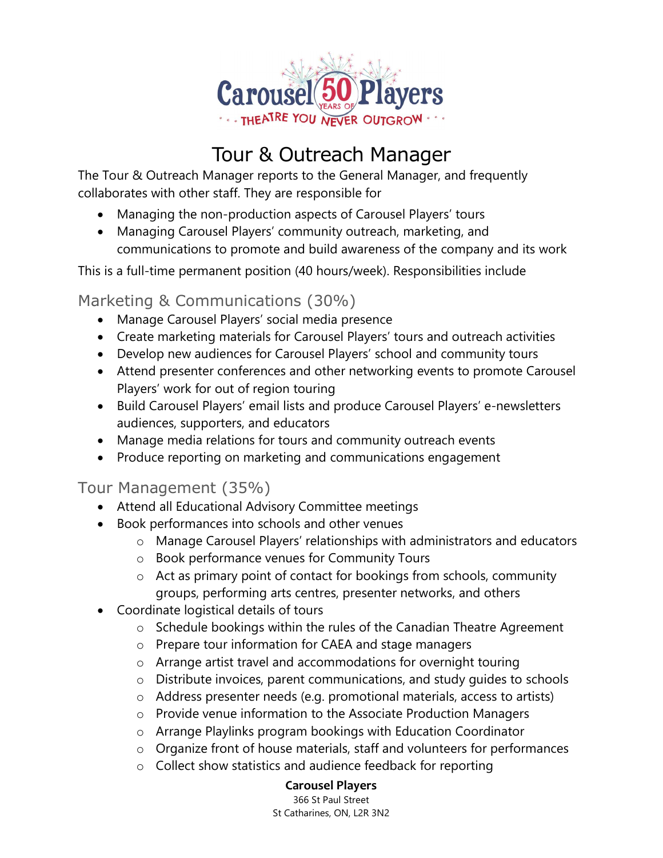

# Tour & Outreach Manager

The Tour & Outreach Manager reports to the General Manager, and frequently collaborates with other staff. They are responsible for

- Managing the non-production aspects of Carousel Players' tours
- Managing Carousel Players' community outreach, marketing, and communications to promote and build awareness of the company and its work

This is a full-time permanent position (40 hours/week). Responsibilities include

#### Marketing & Communications (30%)

- Manage Carousel Players' social media presence
- Create marketing materials for Carousel Players' tours and outreach activities
- Develop new audiences for Carousel Players' school and community tours
- Attend presenter conferences and other networking events to promote Carousel Players' work for out of region touring
- Build Carousel Players' email lists and produce Carousel Players' e-newsletters audiences, supporters, and educators
- Manage media relations for tours and community outreach events
- Produce reporting on marketing and communications engagement

## Tour Management (35%)

- Attend all Educational Advisory Committee meetings
- Book performances into schools and other venues
	- o Manage Carousel Players' relationships with administrators and educators
	- o Book performance venues for Community Tours
	- o Act as primary point of contact for bookings from schools, community groups, performing arts centres, presenter networks, and others
- Coordinate logistical details of tours
	- o Schedule bookings within the rules of the Canadian Theatre Agreement
	- o Prepare tour information for CAEA and stage managers
	- o Arrange artist travel and accommodations for overnight touring
	- o Distribute invoices, parent communications, and study guides to schools
	- o Address presenter needs (e.g. promotional materials, access to artists)
	- o Provide venue information to the Associate Production Managers
	- o Arrange Playlinks program bookings with Education Coordinator
	- o Organize front of house materials, staff and volunteers for performances
	- o Collect show statistics and audience feedback for reporting

#### Carousel Players

 366 St Paul Street St Catharines, ON, L2R 3N2